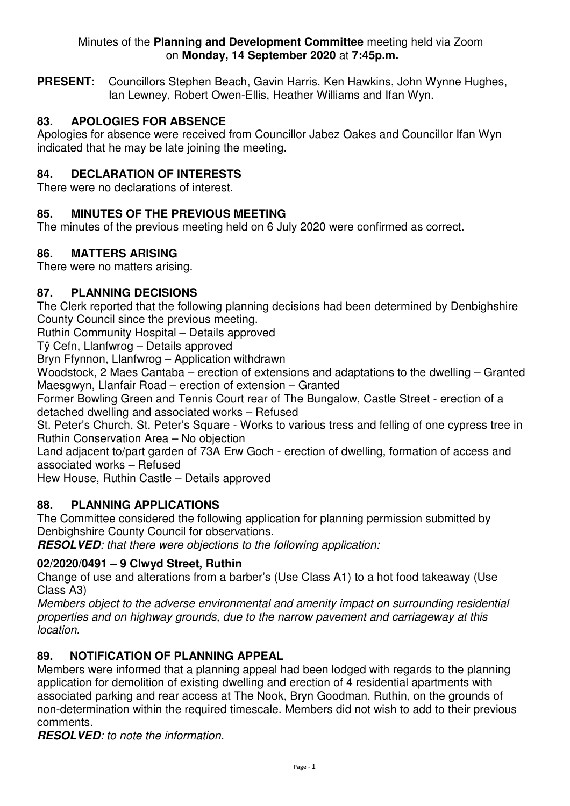#### Minutes of the **Planning and Development Committee** meeting held via Zoom on **Monday, 14 September 2020** at **7:45p.m.**

**PRESENT**: Councillors Stephen Beach, Gavin Harris, Ken Hawkins, John Wynne Hughes, Ian Lewney, Robert Owen-Ellis, Heather Williams and Ifan Wyn.

## **83. APOLOGIES FOR ABSENCE**

Apologies for absence were received from Councillor Jabez Oakes and Councillor Ifan Wyn indicated that he may be late joining the meeting.

# **84. DECLARATION OF INTERESTS**

There were no declarations of interest.

## **85. MINUTES OF THE PREVIOUS MEETING**

The minutes of the previous meeting held on 6 July 2020 were confirmed as correct.

### **86. MATTERS ARISING**

There were no matters arising.

### **87. PLANNING DECISIONS**

The Clerk reported that the following planning decisions had been determined by Denbighshire County Council since the previous meeting.

Ruthin Community Hospital – Details approved

Tŷ Cefn, Llanfwrog – Details approved

Bryn Ffynnon, Llanfwrog – Application withdrawn

Woodstock, 2 Maes Cantaba – erection of extensions and adaptations to the dwelling – Granted Maesgwyn, Llanfair Road – erection of extension – Granted

Former Bowling Green and Tennis Court rear of The Bungalow, Castle Street - erection of a detached dwelling and associated works – Refused

St. Peter's Church, St. Peter's Square - Works to various tress and felling of one cypress tree in Ruthin Conservation Area – No objection

Land adjacent to/part garden of 73A Erw Goch - erection of dwelling, formation of access and associated works – Refused

Hew House, Ruthin Castle – Details approved

## **88. PLANNING APPLICATIONS**

The Committee considered the following application for planning permission submitted by Denbighshire County Council for observations.

**RESOLVED***: that there were objections to the following application:* 

#### **02/2020/0491 – 9 Clwyd Street, Ruthin**

Change of use and alterations from a barber's (Use Class A1) to a hot food takeaway (Use Class A3)

*Members object to the adverse environmental and amenity impact on surrounding residential properties and on highway grounds, due to the narrow pavement and carriageway at this location.*

## **89. NOTIFICATION OF PLANNING APPEAL**

Members were informed that a planning appeal had been lodged with regards to the planning application for demolition of existing dwelling and erection of 4 residential apartments with associated parking and rear access at The Nook, Bryn Goodman, Ruthin, on the grounds of non-determination within the required timescale. Members did not wish to add to their previous comments.

**RESOLVED***: to note the information.*